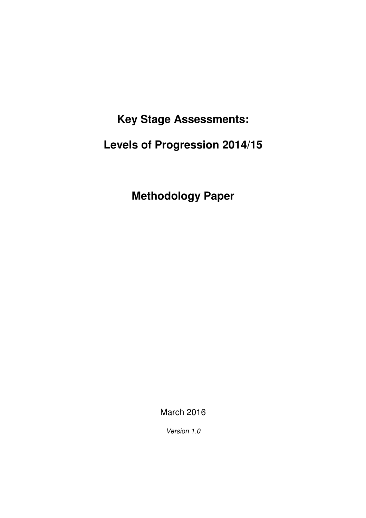**Key Stage Assessments:** 

 **Levels of Progression 2014/15** 

 **Methodology Paper** 

March 2016

Version 1.0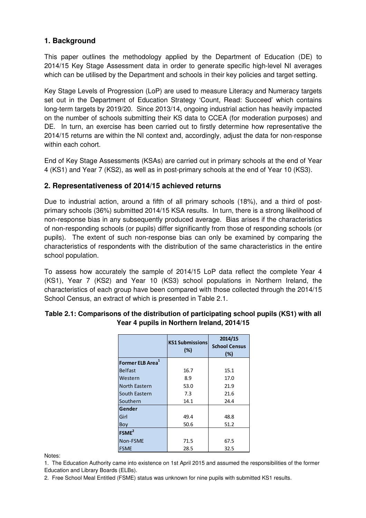# **1. Background**

 This paper outlines the methodology applied by the Department of Education (DE) to 2014/15 Key Stage Assessment data in order to generate specific high-level NI averages which can be utilised by the Department and schools in their key policies and target setting.

 Key Stage Levels of Progression (LoP) are used to measure Literacy and Numeracy targets set out in the Department of Education Strategy 'Count, Read: Succeed' which contains long-term targets by 2019/20. Since 2013/14, ongoing industrial action has heavily impacted on the number of schools submitting their KS data to CCEA (for moderation purposes) and DE. In turn, an exercise has been carried out to firstly determine how representative the 2014/15 returns are within the NI context and, accordingly, adjust the data for non-response within each cohort.

 End of Key Stage Assessments (KSAs) are carried out in primary schools at the end of Year 4 (KS1) and Year 7 (KS2), as well as in post-primary schools at the end of Year 10 (KS3).

### **2. Representativeness of 2014/15 achieved returns**

 Due to industrial action, around a fifth of all primary schools (18%), and a third of post- primary schools (36%) submitted 2014/15 KSA results. In turn, there is a strong likelihood of non-response bias in any subsequently produced average. Bias arises if the characteristics of non-responding schools (or pupils) differ significantly from those of responding schools (or pupils). The extent of such non-response bias can only be examined by comparing the characteristics of respondents with the distribution of the same characteristics in the entire school population.

 To assess how accurately the sample of 2014/15 LoP data reflect the complete Year 4 (KS1), Year 7 (KS2) and Year 10 (KS3) school populations in Northern Ireland, the characteristics of each group have been compared with those collected through the 2014/15 School Census, an extract of which is presented in Table 2.1.

|                              | <b>KS1 Submissions</b><br>(%) | 2014/15<br><b>School Census</b><br>(%) |  |
|------------------------------|-------------------------------|----------------------------------------|--|
| Former ELB Area <sup>1</sup> |                               |                                        |  |
| Belfast                      | 16.7                          | 15.1                                   |  |
| Western                      | 8.9                           | 17.0                                   |  |
| North Eastern                | 53.0                          | 21.9                                   |  |
| South Eastern                | 7.3                           | 21.6                                   |  |
| Southern                     | 14.1                          | 24.4                                   |  |
| Gender                       |                               |                                        |  |
| Girl                         | 49.4                          | 48.8                                   |  |
| Boy                          | 50.6                          | 51.2                                   |  |
| FSME <sup>2</sup>            |                               |                                        |  |
| Non-FSME                     | 71.5                          | 67.5                                   |  |
| <b>FSME</b>                  | 28.5                          | 32.5                                   |  |

## **Table 2.1: Comparisons of the distribution of participating school pupils (KS1) with all Year 4 pupils in Northern Ireland, 2014/15**

Notes<sup>-</sup>

Notes:<br>1. The Education Authority came into existence on 1st April 2015 and assumed the responsibilities of the former Education and Library Boards (ELBs).

2. Free School Meal Entitled (FSME) status was unknown for nine pupils with submitted KS1 results.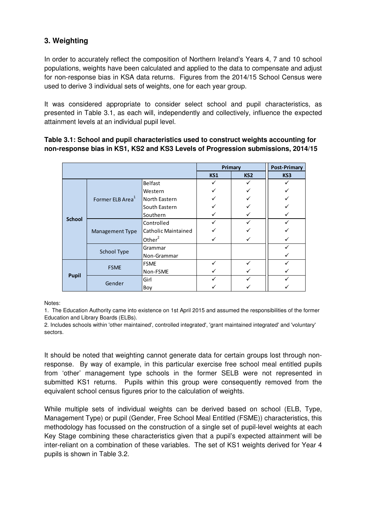# **3. Weighting**

 In order to accurately reflect the composition of Northern Ireland's Years 4, 7 and 10 school populations, weights have been calculated and applied to the data to compensate and adjust for non-response bias in KSA data returns. Figures from the 2014/15 School Census were used to derive 3 individual sets of weights, one for each year group.

 It was considered appropriate to consider select school and pupil characteristics, as presented in Table 3.1, as each will, independently and collectively, influence the expected attainment levels at an individual pupil level.

#### **Table 3.1: School and pupil characteristics used to construct weights accounting for non-response bias in KS1, KS2 and KS3 Levels of Progression submissions, 2014/15**

|               |                              | Primary                    |     | <b>Post-Primary</b> |     |
|---------------|------------------------------|----------------------------|-----|---------------------|-----|
|               |                              |                            | KS1 | KS <sub>2</sub>     | KS3 |
|               | Former ELB Area <sup>1</sup> | Belfast                    |     |                     |     |
|               |                              | Western                    |     |                     |     |
|               |                              | North Eastern              |     |                     |     |
|               |                              | South Eastern              |     |                     |     |
| <b>School</b> |                              | Southern                   |     |                     |     |
|               | Management Type              | Controlled                 |     |                     |     |
|               |                              | <b>Catholic Maintained</b> |     |                     |     |
|               |                              | Other $2$                  |     |                     |     |
|               | <b>School Type</b>           | Grammar                    |     |                     |     |
|               |                              | Non-Grammar                |     |                     |     |
|               | <b>FSME</b>                  | <b>FSME</b>                |     |                     |     |
| <b>Pupil</b>  |                              | Non-FSME                   |     |                     |     |
|               | Gender                       | Girl                       |     |                     |     |
|               |                              | Boy                        |     |                     |     |

Notes:

 1. The Education Authority came into existence on 1st April 2015 and assumed the responsibilities of the former Education and Library Boards (ELBs).

 2. Includes schools within 'other maintained', controlled integrated', 'grant maintained integrated' and 'voluntary' sectors.

 It should be noted that weighting cannot generate data for certain groups lost through non- response. By way of example, in this particular exercise free school meal entitled pupils from 'other' management type schools in the former SELB were not represented in submitted KS1 returns. Pupils within this group were consequently removed from the equivalent school census figures prior to the calculation of weights.

 While multiple sets of individual weights can be derived based on school (ELB, Type, Management Type) or pupil (Gender, Free School Meal Entitled (FSME)) characteristics, this methodology has focussed on the construction of a single set of pupil-level weights at each Key Stage combining these characteristics given that a pupil's expected attainment will be inter-reliant on a combination of these variables. The set of KS1 weights derived for Year 4 pupils is shown in Table 3.2.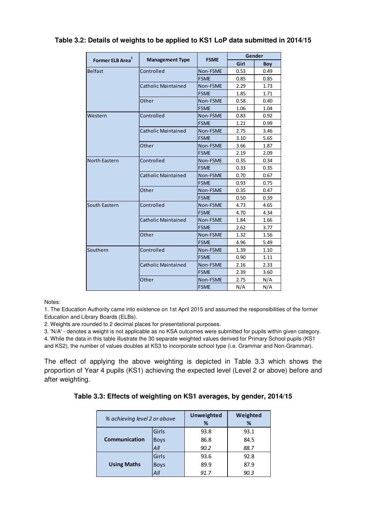|                              |                            | <b>FSME</b> | Gender |      |
|------------------------------|----------------------------|-------------|--------|------|
| Former ELB Area <sup>1</sup> | <b>Management Type</b>     |             | Girl   | Boy  |
| <b>Belfast</b>               | Controlled                 | Non-FSME    | 0.53   | 0.49 |
|                              |                            | <b>FSME</b> | 0.85   | 0.85 |
|                              | <b>Catholic Maintained</b> | Non-FSME    | 2.29   | 1.73 |
|                              |                            | <b>FSME</b> | 1.85   | 1.71 |
|                              | Other                      | Non-FSME    | 0.58   | 0.40 |
|                              |                            | <b>FSME</b> | 1.06   | 1.04 |
| Western                      | Controlled                 | Non-FSME    | 0.83   | 0.92 |
|                              |                            | <b>FSME</b> | 1.21   | 0.99 |
|                              | Catholic Maintained        | Non-FSME    | 2.75   | 3.46 |
|                              |                            | <b>FSME</b> | 3.10   | 5.65 |
|                              | Other                      | Non-FSME    | 3.66   | 1.87 |
|                              |                            | <b>FSME</b> | 2.19   | 2.09 |
| North Eastern                | Controlled                 | Non-FSME    | 0.35   | 0.34 |
|                              |                            | <b>FSME</b> | 0.33   | 0.35 |
|                              | Catholic Maintained        | Non-FSME    | 0.70   | 0.67 |
|                              |                            | <b>FSME</b> | 0.93   | 0.75 |
|                              | Other                      | Non-FSME    | 0.35   | 0.47 |
|                              |                            | <b>FSME</b> | 0.50   | 0.39 |
| South Eastern                | Controlled                 | Non-FSME    | 4.73   | 4.65 |
|                              |                            | <b>FSME</b> | 4.70   | 4.34 |
|                              | <b>Catholic Maintained</b> | Non-FSME    | 1.84   | 1.66 |
|                              |                            | <b>FSME</b> | 2.62   | 3.77 |
|                              | Other                      | Non-FSME    | 1.32   | 1.56 |
|                              |                            | <b>FSME</b> | 4.96   | 5.49 |
| Southern                     | Controlled                 | Non-FSME    | 1.39   | 1.10 |
|                              |                            | <b>FSME</b> | 0.90   | 1.11 |
|                              | Catholic Maintained        | Non-FSME    | 2.16   | 2.33 |
|                              |                            | <b>FSME</b> | 2.39   | 3.60 |
|                              | Other                      | Non-FSME    | 2.75   | N/A  |
|                              |                            | <b>FSME</b> | N/A    | N/A  |

#### **Table 3.2: Details of weights to be applied to KS1 LoP data submitted in 2014/15**

Notes:

 1. The Education Authority came into existence on 1st April 2015 and assumed the responsibilities of the former Education and Library Boards (ELBs).

2. Weights are rounded to 2 decimal places for presentational purposes.

 3. 'N/A' - denotes a weight is not applicable as no KSA outcomes were submitted for pupils within given category. 4. While the data in this table illustrate the 30 separate weighted values derived for Primary School pupils (KS1 and KS2), the number of values doubles at KS3 to incorporate school type (i.e. Grammar and Non-Grammar).

 The effect of applying the above weighting is depicted in Table 3.3 which shows the proportion of Year 4 pupils (KS1) achieving the expected level (Level 2 or above) before and after weighting.

 **Table 3.3: Effects of weighting on KS1 averages, by gender, 2014/15** 

| % achieving level 2 or above |             | Unweighted | Weighted |
|------------------------------|-------------|------------|----------|
|                              |             | %          | %        |
|                              | Girls       | 93.8       | 93.1     |
| <b>Communication</b>         | <b>Boys</b> | 86.8       | 84.5     |
|                              | $A$ ll      | 90.2       | 88.7     |
|                              | Girls       | 93.6       | 92.8     |
| <b>Using Maths</b>           | <b>Boys</b> | 89.9       | 87.9     |
|                              | All         | 91 7       | 90.3     |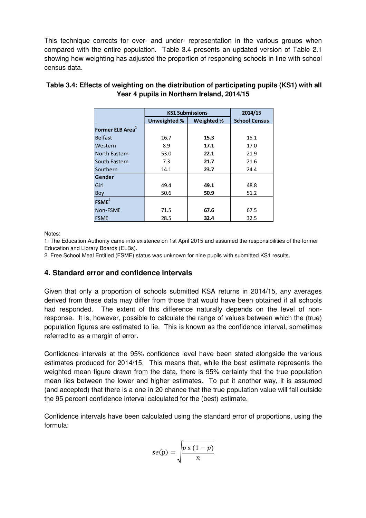This technique corrects for over- and under- representation in the various groups when compared with the entire population. Table 3.4 presents an updated version of Table 2.1 showing how weighting has adjusted the proportion of responding schools in line with school census data.

|                              | <b>KS1 Submissions</b> | 2014/15    |                      |
|------------------------------|------------------------|------------|----------------------|
|                              | Unweighted %           | Weighted % | <b>School Census</b> |
| Former ELB Area <sup>1</sup> |                        |            |                      |
| <b>Belfast</b>               | 16.7                   | 15.3       | 15.1                 |
| Western                      | 8.9                    | 17.1       | 17.0                 |
| North Eastern                | 53.0                   | 22.1       | 21.9                 |
| South Eastern                | 7.3                    | 21.7       | 21.6                 |
| Southern                     | 14.1                   | 23.7       | 24.4                 |
| Gender                       |                        |            |                      |
| Girl                         | 49.4                   | 49.1       | 48.8                 |
| Boy                          | 50.6                   | 50.9       | 51.2                 |
| FSME <sup>2</sup>            |                        |            |                      |
| Non-FSME                     | 71.5                   | 67.6       | 67.5                 |
| <b>FSME</b>                  | 28.5                   | 32.4       | 32.5                 |

## **Table 3.4: Effects of weighting on the distribution of participating pupils (KS1) with all Year 4 pupils in Northern Ireland, 2014/15**

Notes:

 1. The Education Authority came into existence on 1st April 2015 and assumed the responsibilities of the former Education and Library Boards (ELBs).

2. Free School Meal Entitled (FSME) status was unknown for nine pupils with submitted KS1 results.

## **4. Standard error and confidence intervals**

 Given that only a proportion of schools submitted KSA returns in 2014/15, any averages derived from these data may differ from those that would have been obtained if all schools had responded. The extent of this difference naturally depends on the level of non- response. It is, however, possible to calculate the range of values between which the (true) population figures are estimated to lie. This is known as the confidence interval, sometimes referred to as a margin of error.

 Confidence intervals at the 95% confidence level have been stated alongside the various estimates produced for 2014/15. This means that, while the best estimate represents the weighted mean figure drawn from the data, there is 95% certainty that the true population mean lies between the lower and higher estimates. To put it another way, it is assumed (and accepted) that there is a one in 20 chance that the true population value will fall outside the 95 percent confidence interval calculated for the (best) estimate.

 Confidence intervals have been calculated using the standard error of proportions, using the formula:

$$
se(p) = \sqrt{\frac{p \times (1-p)}{n}}
$$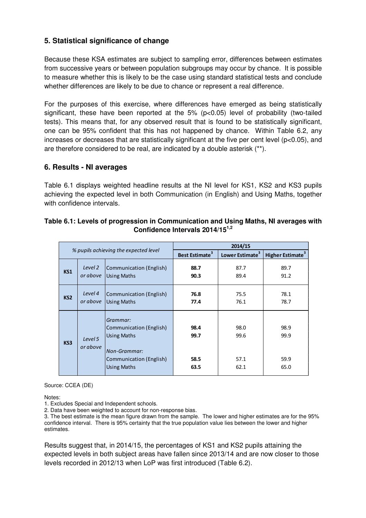# **5. Statistical significance of change**

 Because these KSA estimates are subject to sampling error, differences between estimates from successive years or between population subgroups may occur by chance. It is possible to measure whether this is likely to be the case using standard statistical tests and conclude whether differences are likely to be due to chance or represent a real difference.

 For the purposes of this exercise, where differences have emerged as being statistically significant, these have been reported at the 5% (p<0.05) level of probability (two-tailed tests). This means that, for any observed result that is found to be statistically significant, one can be 95% confident that this has not happened by chance. Within Table 6.2, any increases or decreases that are statistically significant at the five per cent level (p<0.05), and are therefore considered to be real, are indicated by a double asterisk (\*\*).

#### **6. Results - NI averages**

 Table 6.1 displays weighted headline results at the NI level for KS1, KS2 and KS3 pupils achieving the expected level in both Communication (in English) and Using Maths, together with confidence intervals.

| % pupils achieving the expected level |                     | 2014/15                                                                                                                           |                              |                              |                              |
|---------------------------------------|---------------------|-----------------------------------------------------------------------------------------------------------------------------------|------------------------------|------------------------------|------------------------------|
|                                       |                     | <b>Best Estimate<sup>3</sup></b>                                                                                                  | Lower Estimate <sup>3</sup>  | Higher Estimate <sup>3</sup> |                              |
| KS <sub>1</sub>                       | Level 2<br>or above | Communication (English)<br><b>Using Maths</b>                                                                                     | 88.7<br>90.3                 | 87.7<br>89.4                 | 89.7<br>91.2                 |
| KS <sub>2</sub>                       | Level 4<br>or above | Communication (English)<br><b>Using Maths</b>                                                                                     | 76.8<br>77.4                 | 75.5<br>76.1                 | 78.1<br>78.7                 |
| KS3                                   | Level 5<br>or above | Grammar:<br>Communication (English)<br><b>Using Maths</b><br><b>Non-Grammar:</b><br>Communication (English)<br><b>Using Maths</b> | 98.4<br>99.7<br>58.5<br>63.5 | 98.0<br>99.6<br>57.1<br>62.1 | 98.9<br>99.9<br>59.9<br>65.0 |

#### **Table 6.1: Levels of progression in Communication and Using Maths, NI averages with Confidence Intervals 2014/151,2**

Source: CCEA (DE)

Notes:

1. Excludes Special and Independent schools.

2. Data have been weighted to account for non-response bias.

 3. The best estimate is the mean figure drawn from the sample. The lower and higher estimates are for the 95% confidence interval. There is 95% certainty that the true population value lies between the lower and higher estimates.

 Results suggest that, in 2014/15, the percentages of KS1 and KS2 pupils attaining the expected levels in both subject areas have fallen since 2013/14 and are now closer to those levels recorded in 2012/13 when LoP was first introduced (Table 6.2).